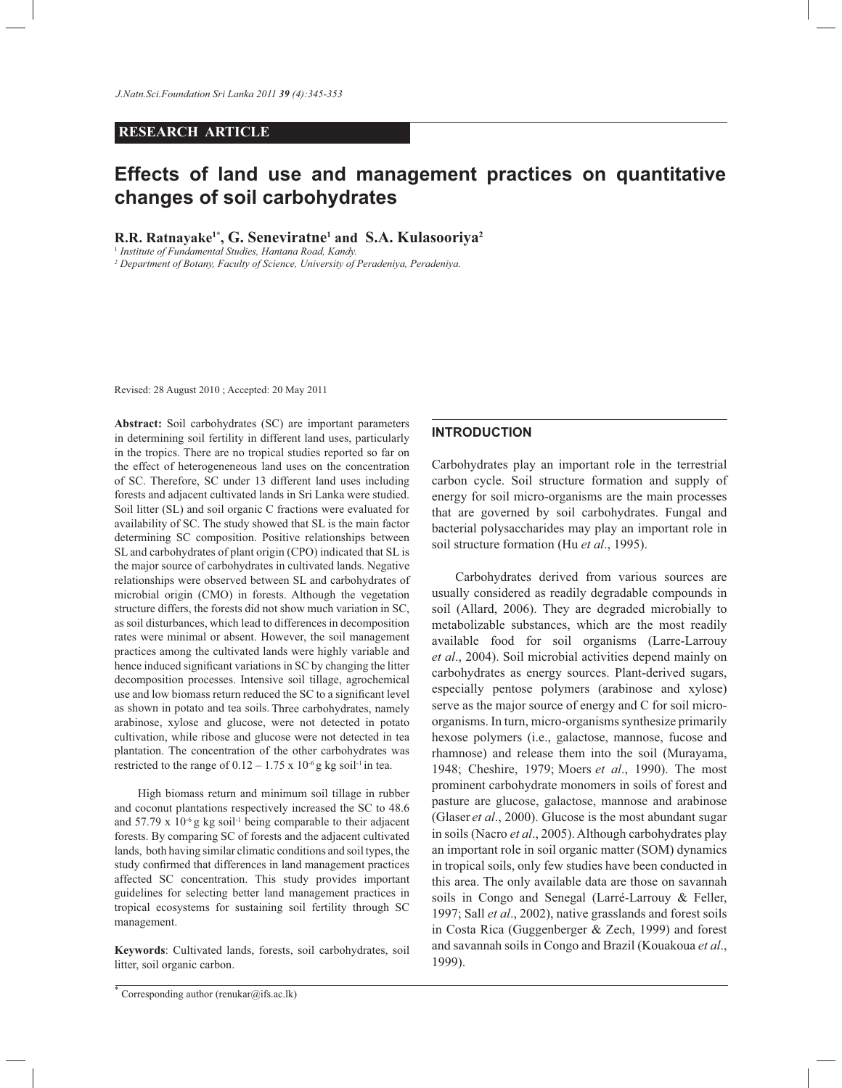## **RESEARCH ARTICLE**

# **Effects of land use and management practices on quantitative changes of soil carbohydrates**

**R.R. Ratnayake1\*, G. Seneviratne1 and S.A. Kulasooriya2**

<sup>1</sup> *Institute of Fundamental Studies, Hantana Road, Kandy.*

*2 Department of Botany, Faculty of Science, University of Peradeniya, Peradeniya.*

Revised: 28 August 2010 ; Accepted: 20 May 2011

**Abstract:** Soil carbohydrates (SC) are important parameters in determining soil fertility in different land uses, particularly in the tropics. There are no tropical studies reported so far on the effect of heterogeneneous land uses on the concentration of SC. Therefore, SC under 13 different land uses including forests and adjacent cultivated lands in Sri Lanka were studied. Soil litter (SL) and soil organic C fractions were evaluated for availability of SC. The study showed that SL is the main factor determining SC composition. Positive relationships between SL and carbohydrates of plant origin (CPO) indicated that SL is the major source of carbohydrates in cultivated lands. Negative relationships were observed between SL and carbohydrates of microbial origin (CMO) in forests. Although the vegetation structure differs, the forests did not show much variation in SC, as soil disturbances, which lead to differences in decomposition rates were minimal or absent. However, the soil management practices among the cultivated lands were highly variable and hence induced significant variations in SC by changing the litter decomposition processes. Intensive soil tillage, agrochemical use and low biomass return reduced the SC to a significant level as shown in potato and tea soils. Three carbohydrates, namely arabinose, xylose and glucose, were not detected in potato cultivation, while ribose and glucose were not detected in tea plantation. The concentration of the other carbohydrates was restricted to the range of  $0.12 - 1.75 \times 10^{-6}$  g kg soil<sup>-1</sup> in tea.

 High biomass return and minimum soil tillage in rubber and coconut plantations respectively increased the SC to 48.6 and  $57.79 \times 10^{-6}$  g kg soil<sup>-1</sup> being comparable to their adjacent forests. By comparing SC of forests and the adjacent cultivated lands, both having similar climatic conditions and soil types, the study confirmed that differences in land management practices affected SC concentration. This study provides important guidelines for selecting better land management practices in tropical ecosystems for sustaining soil fertility through SC management.

**Keywords**: Cultivated lands, forests, soil carbohydrates, soil litter, soil organic carbon.

### **INTRODUCTION**

Carbohydrates play an important role in the terrestrial carbon cycle. Soil structure formation and supply of energy for soil micro-organisms are the main processes that are governed by soil carbohydrates. Fungal and bacterial polysaccharides may play an important role in soil structure formation (Hu *et al*., 1995).

 Carbohydrates derived from various sources are usually considered as readily degradable compounds in soil (Allard, 2006). They are degraded microbially to metabolizable substances, which are the most readily available food for soil organisms (Larre-Larrouy *et al*., 2004). Soil microbial activities depend mainly on carbohydrates as energy sources. Plant-derived sugars, especially pentose polymers (arabinose and xylose) serve as the major source of energy and C for soil microorganisms. In turn, micro-organisms synthesize primarily hexose polymers (i.e., galactose, mannose, fucose and rhamnose) and release them into the soil (Murayama, 1948; Cheshire, 1979; Moers *et al*., 1990). The most prominent carbohydrate monomers in soils of forest and pasture are glucose, galactose, mannose and arabinose (Glaser *et al*., 2000). Glucose is the most abundant sugar in soils (Nacro *et al*., 2005). Although carbohydrates play an important role in soil organic matter (SOM) dynamics in tropical soils, only few studies have been conducted in this area. The only available data are those on savannah soils in Congo and Senegal (Larré-Larrouy & Feller, 1997; Sall *et al*., 2002), native grasslands and forest soils in Costa Rica (Guggenberger & Zech, 1999) and forest and savannah soils in Congo and Brazil (Kouakoua *et al*., 1999).

<sup>\*</sup> Corresponding author (renukar@ifs.ac.lk)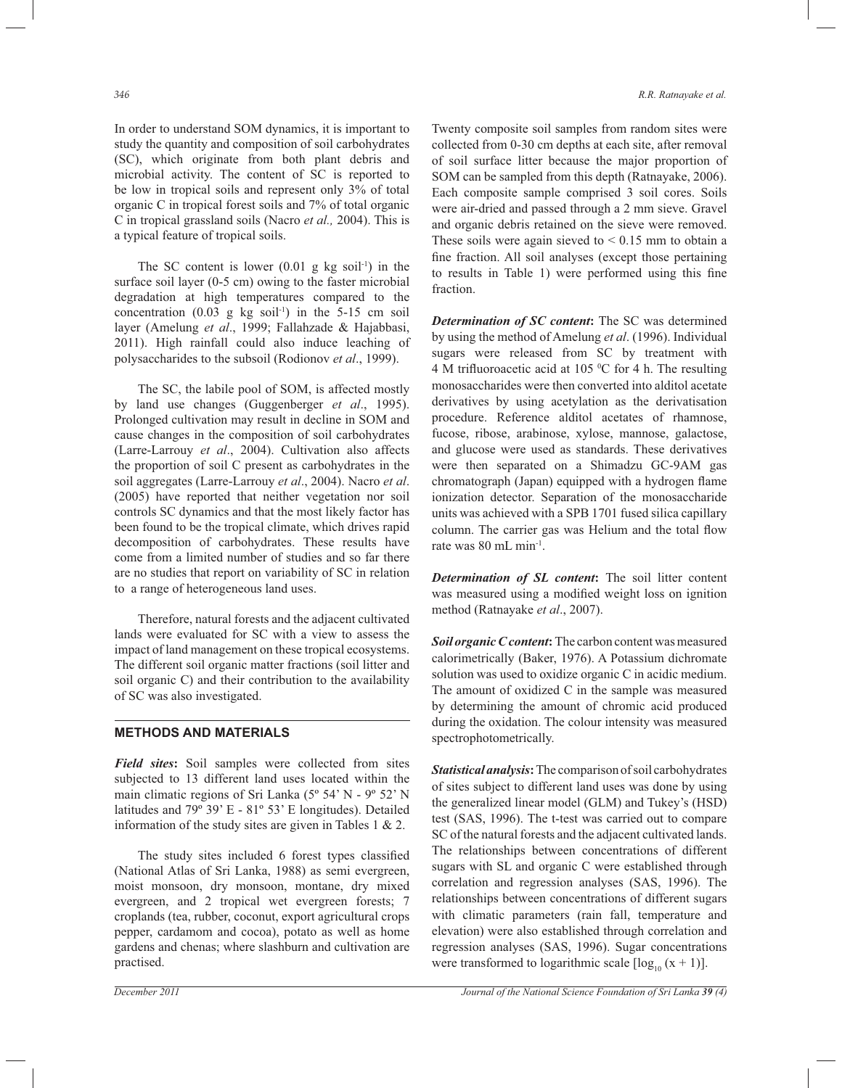In order to understand SOM dynamics, it is important to study the quantity and composition of soil carbohydrates (SC), which originate from both plant debris and microbial activity. The content of SC is reported to be low in tropical soils and represent only 3% of total organic C in tropical forest soils and 7% of total organic C in tropical grassland soils (Nacro *et al.,* 2004). This is a typical feature of tropical soils.

The SC content is lower  $(0.01 \text{ g kg soil}^{-1})$  in the surface soil layer (0-5 cm) owing to the faster microbial degradation at high temperatures compared to the concentration  $(0.03 \text{ g kg soil}^{-1})$  in the 5-15 cm soil layer (Amelung *et al*., 1999; Fallahzade & Hajabbasi, 2011). High rainfall could also induce leaching of polysaccharides to the subsoil (Rodionov *et al*., 1999).

 The SC, the labile pool of SOM, is affected mostly by land use changes (Guggenberger *et al*., 1995). Prolonged cultivation may result in decline in SOM and cause changes in the composition of soil carbohydrates (Larre-Larrouy *et al*., 2004). Cultivation also affects the proportion of soil C present as carbohydrates in the soil aggregates (Larre-Larrouy *et al*., 2004). Nacro *et al*. (2005) have reported that neither vegetation nor soil controls SC dynamics and that the most likely factor has been found to be the tropical climate, which drives rapid decomposition of carbohydrates. These results have come from a limited number of studies and so far there are no studies that report on variability of SC in relation to a range of heterogeneous land uses.

 Therefore, natural forests and the adjacent cultivated lands were evaluated for SC with a view to assess the impact of land management on these tropical ecosystems. The different soil organic matter fractions (soil litter and soil organic C) and their contribution to the availability of SC was also investigated.

### **METHODS AND MATERIALS**

*Field sites***:** Soil samples were collected from sites subjected to 13 different land uses located within the main climatic regions of Sri Lanka (5º 54' N - 9º 52' N latitudes and 79º 39' E - 81º 53' E longitudes). Detailed information of the study sites are given in Tables 1 & 2.

 The study sites included 6 forest types classified (National Atlas of Sri Lanka, 1988) as semi evergreen, moist monsoon, dry monsoon, montane, dry mixed evergreen, and 2 tropical wet evergreen forests; 7 croplands (tea, rubber, coconut, export agricultural crops pepper, cardamom and cocoa), potato as well as home gardens and chenas; where slashburn and cultivation are practised.

Twenty composite soil samples from random sites were collected from 0-30 cm depths at each site, after removal of soil surface litter because the major proportion of SOM can be sampled from this depth (Ratnayake, 2006). Each composite sample comprised 3 soil cores. Soils were air-dried and passed through a 2 mm sieve. Gravel and organic debris retained on the sieve were removed. These soils were again sieved to  $< 0.15$  mm to obtain a fine fraction. All soil analyses (except those pertaining to results in Table 1) were performed using this fine fraction.

*Determination of SC content***:** The SC was determined by using the method of Amelung *et al*. (1996). Individual sugars were released from SC by treatment with 4 M trifluoroacetic acid at 105  $\rm{^0C}$  for 4 h. The resulting monosaccharides were then converted into alditol acetate derivatives by using acetylation as the derivatisation procedure. Reference alditol acetates of rhamnose, fucose, ribose, arabinose, xylose, mannose, galactose, and glucose were used as standards. These derivatives were then separated on a Shimadzu GC-9AM gas chromatograph (Japan) equipped with a hydrogen flame ionization detector. Separation of the monosaccharide units was achieved with a SPB 1701 fused silica capillary column. The carrier gas was Helium and the total flow rate was 80 mL min-1.

*Determination of SL content***:** The soil litter content was measured using a modified weight loss on ignition method (Ratnayake *et al*., 2007).

*Soil organic C content***:**The carbon content was measured calorimetrically (Baker, 1976). A Potassium dichromate solution was used to oxidize organic C in acidic medium. The amount of oxidized C in the sample was measured by determining the amount of chromic acid produced during the oxidation. The colour intensity was measured spectrophotometrically.

*Statistical analysis***:** The comparison of soil carbohydrates of sites subject to different land uses was done by using the generalized linear model (GLM) and Tukey's (HSD) test (SAS, 1996). The t-test was carried out to compare SC of the natural forests and the adjacent cultivated lands. The relationships between concentrations of different sugars with SL and organic C were established through correlation and regression analyses (SAS, 1996). The relationships between concentrations of different sugars with climatic parameters (rain fall, temperature and elevation) were also established through correlation and regression analyses (SAS, 1996). Sugar concentrations were transformed to logarithmic scale  $[\log_{10} (x + 1)].$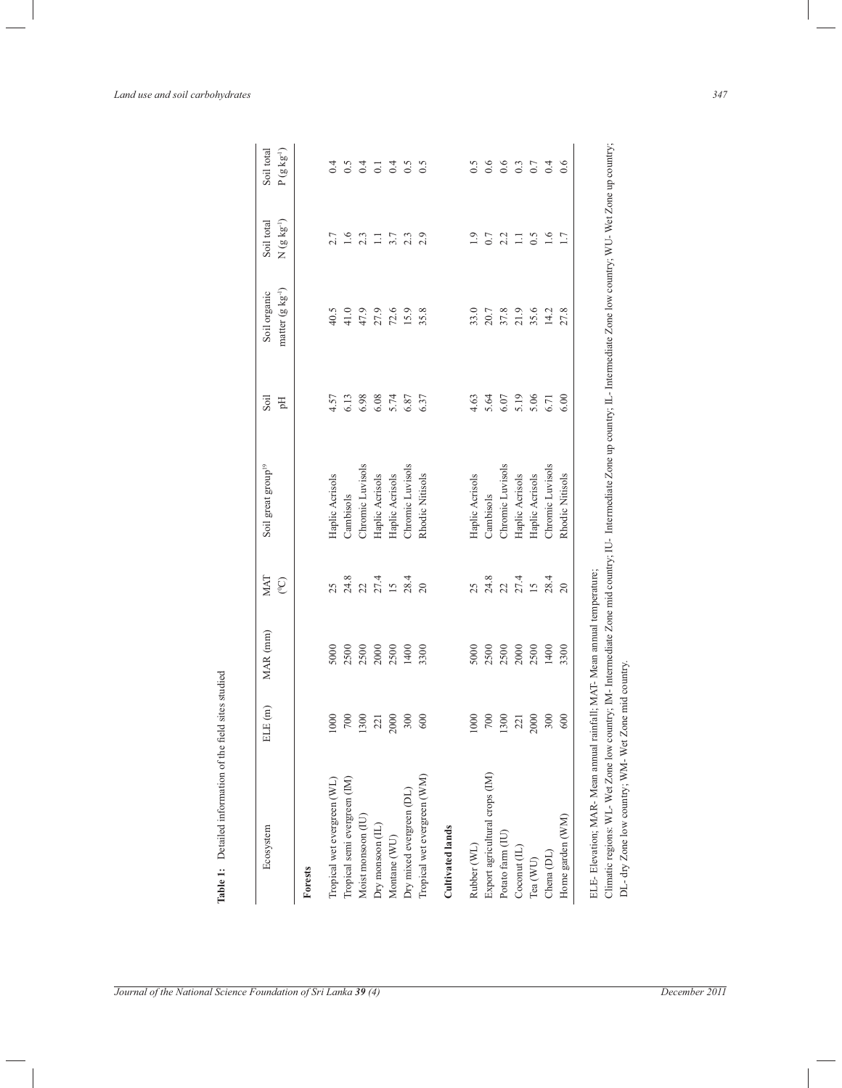| Ecosystem                             | ELE (m) | MAR (mm) | MAT<br>$\mathcal{O}^0$             | Soil great group <sup>19</sup> | Soil<br>Flq | matter $(g \ kg^{-1})$<br>Soil organic | Soil total<br>N $(g\;kg^{\scriptscriptstyle +})$ |
|---------------------------------------|---------|----------|------------------------------------|--------------------------------|-------------|----------------------------------------|--------------------------------------------------|
| Forests                               |         |          |                                    |                                |             |                                        |                                                  |
| Tropical wet evergreen (WL)           | 1000    | 5000     | 25                                 | Haplic Acrisols                | 4.57        | 40.5                                   | 2.7                                              |
| Tropical semi evergreen (IM)          | $700\,$ | 2500     |                                    | Cambisols                      | 6.13        | 41.0                                   | 1.6                                              |
| Moist monsoon (IU)                    | 1300    | 2500     |                                    | Chromic Luvisols               | 6.98        | 47.9                                   | 2.3                                              |
| $\mathrm{Dry}$ monsoon $(\mathbb{L})$ | 221     | 2000     | 24.8<br>21 21 21 22 23<br>22 23 24 | Haplic Acrisols                | 6.08        | 27.9                                   | $\Xi$                                            |
| Montane (WU)                          | 2000    | 2500     |                                    | Haplic Acrisols                | 5.74        | 72.6                                   | 3.7                                              |
| Dry mixed evergreen (DL)              | 300     | 1400     |                                    | Chromic Luvisols               | 6.87        | 15.9                                   | $2.3$<br>$2.9$                                   |
| Tropical wet evergreen (WM)           | 600     | 3300     |                                    | Rhodic Nitisols                | 6.37        | 35.8                                   |                                                  |
| <b>Cultivated lands</b>               |         |          |                                    |                                |             |                                        |                                                  |
| Rubber (WL)                           | 1000    | 5000     | 25                                 | Haplic Acrisols                | 4.63        | 33.0                                   | $\overline{1.9}$                                 |
| Export agricultural crops (IM)        | $700\,$ | 2500     | 24.8                               | Cambisols                      | 5.64        | $20.7\,$                               | $0.7\,$                                          |
| Potato farm (IU)                      | 1300    | 2500     |                                    | Chromic Luvisols               | $6.07$      | 37.8                                   | 2.2                                              |
| Coconut (IL)                          | 221     | 2000     | $22$<br>$27.4$<br>$15$             | Haplic Acrisols                | 5.19        | 21.9                                   | $\Xi$                                            |
| Tea (WU)                              | 2000    | 2500     |                                    | Haplic Acrisols                | 5.06        | 35.6                                   | 0.5                                              |
| Chena (DL)                            | 300     | 1400     | 28.4                               | Chromic Luvisols               | 6.71        | 14.2                                   | 1.7                                              |
| Home garden (WM)                      | 600     | 3300     | 20                                 | Rhodic Nitisols                | 6.00        | 27.8                                   |                                                  |

*Land use and soil carbohydrates 347*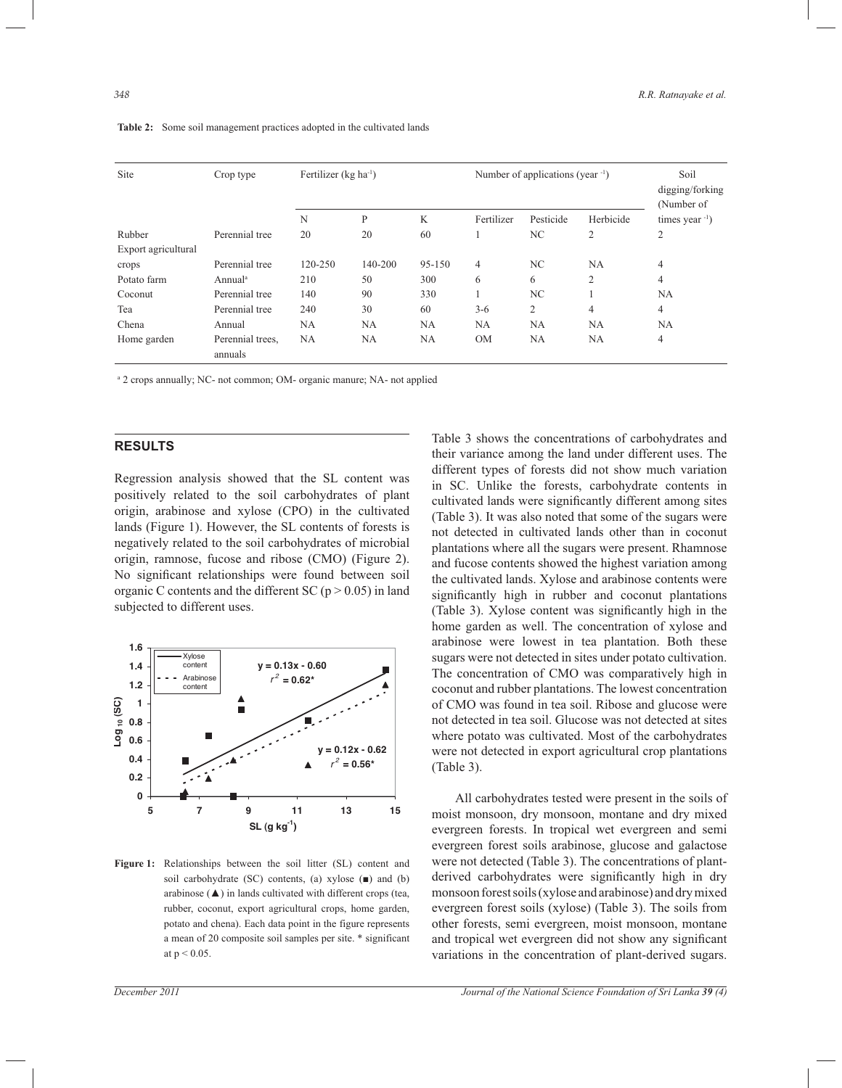| Site                | Crop type                   | Fertilizer (kg ha <sup>-1</sup> ) |             |            | Number of applications (year $-1$ ) |           |                | Soil<br>digging/forking<br>(Number of |
|---------------------|-----------------------------|-----------------------------------|-------------|------------|-------------------------------------|-----------|----------------|---------------------------------------|
|                     |                             | N                                 | P           | K          | Fertilizer                          | Pesticide | Herbicide      | times year $^{-1}$ )                  |
| Rubber              | Perennial tree              | 20                                | 20          | 60         |                                     | NC.       | 2              | $\overline{2}$                        |
| Export agricultural |                             |                                   |             |            |                                     |           |                |                                       |
| crops               | Perennial tree              | 120-250                           | $140 - 200$ | $95 - 150$ | $\overline{4}$                      | NC.       | <b>NA</b>      | $\overline{4}$                        |
| Potato farm         | Annual <sup>a</sup>         | 210                               | 50          | 300        | 6                                   | 6         | $\overline{2}$ | $\overline{4}$                        |
| Coconut             | Perennial tree              | 140                               | 90          | 330        |                                     | NC.       | 1              | <b>NA</b>                             |
| Tea                 | Perennial tree              | 240                               | 30          | 60         | $3-6$                               | 2         | $\overline{4}$ | $\overline{4}$                        |
| Chena               | Annual                      | <b>NA</b>                         | <b>NA</b>   | <b>NA</b>  | <b>NA</b>                           | <b>NA</b> | <b>NA</b>      | <b>NA</b>                             |
| Home garden         | Perennial trees,<br>annuals | NA                                | <b>NA</b>   | <b>NA</b>  | <b>OM</b>                           | <b>NA</b> | <b>NA</b>      | $\overline{4}$                        |

**Table 2:** Some soil management practices adopted in the cultivated lands

<sup>a</sup> 2 crops annually; NC- not common; OM- organic manure; NA- not applied

#### **RESULTS**

Regression analysis showed that the SL content was positively related to the soil carbohydrates of plant origin, arabinose and xylose (CPO) in the cultivated lands (Figure 1). However, the SL contents of forests is negatively related to the soil carbohydrates of microbial origin, ramnose, fucose and ribose (CMO) (Figure 2). No significant relationships were found between soil organic C contents and the different SC ( $p > 0.05$ ) in land subjected to different uses.



**Figure 1:** Relationships between the soil litter (SL) content and soil carbohydrate (SC) contents, (a) xylose (■) and (b) arabinose (▲) in lands cultivated with different crops (tea, rubber, coconut, export agricultural crops, home garden, potato and chena). Each data point in the figure represents a mean of 20 composite soil samples per site. \* significant at p < 0.05.

Table 3 shows the concentrations of carbohydrates and their variance among the land under different uses. The different types of forests did not show much variation in SC. Unlike the forests, carbohydrate contents in cultivated lands were significantly different among sites (Table 3). It was also noted that some of the sugars were not detected in cultivated lands other than in coconut plantations where all the sugars were present. Rhamnose and fucose contents showed the highest variation among the cultivated lands. Xylose and arabinose contents were significantly high in rubber and coconut plantations (Table 3). Xylose content was significantly high in the home garden as well. The concentration of xylose and arabinose were lowest in tea plantation. Both these sugars were not detected in sites under potato cultivation. The concentration of CMO was comparatively high in coconut and rubber plantations. The lowest concentration of CMO was found in tea soil. Ribose and glucose were not detected in tea soil. Glucose was not detected at sites where potato was cultivated. Most of the carbohydrates were not detected in export agricultural crop plantations (Table 3).

 All carbohydrates tested were present in the soils of moist monsoon, dry monsoon, montane and dry mixed evergreen forests. In tropical wet evergreen and semi evergreen forest soils arabinose, glucose and galactose were not detected (Table 3). The concentrations of plantderived carbohydrates were significantly high in dry monsoon forest soils (xylose and arabinose) and dry mixed evergreen forest soils (xylose) (Table 3). The soils from other forests, semi evergreen, moist monsoon, montane and tropical wet evergreen did not show any significant variations in the concentration of plant-derived sugars.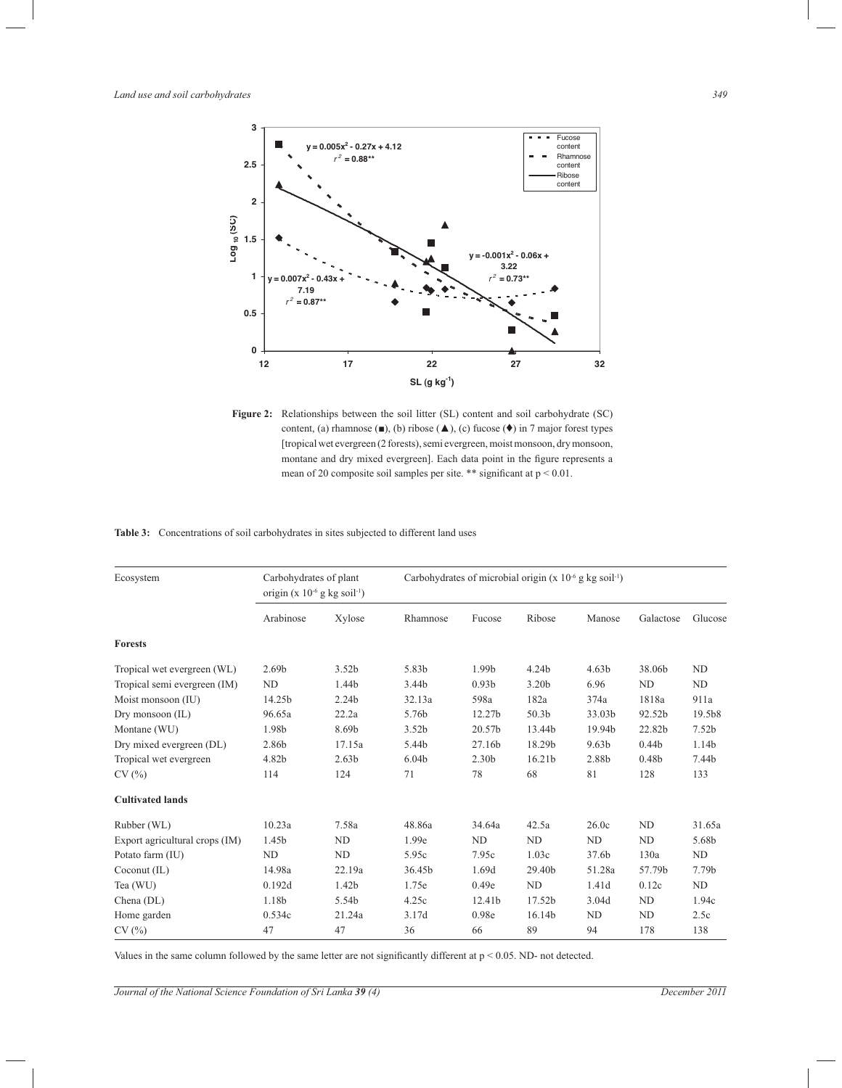

Figure 2: Relationships between the soil litter (SL) content and soil carbohydrate (SC) content, (a) rhamnose  $($ ■), (b) ribose  $($ **△**), (c) fucose  $($ <sup>◆</sup>) in 7 major forest types [tropical wet evergreen (2 forests), semi evergreen, moist monsoon, dry monsoon, montane and dry mixed evergreen]. Each data point in the figure represents a mean of 20 composite soil samples per site. \*\* significant at  $p < 0.01$ .

**Table 3:** Concentrations of soil carbohydrates in sites subjected to different land uses

| Ecosystem                      | Carbohydrates of plant<br>origin (x $10^{-6}$ g kg soil <sup>-1</sup> ) |                   |                   |                   | Carbohydrates of microbial origin (x $10^{-6}$ g kg soil <sup>-1</sup> ) |                   |                   |         |
|--------------------------------|-------------------------------------------------------------------------|-------------------|-------------------|-------------------|--------------------------------------------------------------------------|-------------------|-------------------|---------|
|                                | Arabinose                                                               | Xylose            | Rhamnose          | Fucose            | Ribose                                                                   | Manose            | Galactose         | Glucose |
| <b>Forests</b>                 |                                                                         |                   |                   |                   |                                                                          |                   |                   |         |
| Tropical wet evergreen (WL)    | 2.69 <sub>b</sub>                                                       | 3.52b             | 5.83b             | 1.99b             | 4.24b                                                                    | 4.63 <sub>b</sub> | 38.06b            | ND      |
| Tropical semi evergreen (IM)   | ND                                                                      | 1.44b             | 3.44b             | 0.93 <sub>b</sub> | 3.20 <sub>b</sub>                                                        | 6.96              | N <sub>D</sub>    | ND      |
| Moist monsoon (IU)             | 14.25b                                                                  | 2.24b             | 32.13a            | 598a              | 182a                                                                     | 374a              | 1818a             | 911a    |
| Dry monsoon (IL)               | 96.65a                                                                  | 22.2a             | 5.76b             | 12.27b            | 50.3 <sub>b</sub>                                                        | 33.03b            | 92.52b            | 19.5b8  |
| Montane (WU)                   | 1.98b                                                                   | 8.69b             | 3.52b             | 20.57b            | 13.44b                                                                   | 19.94b            | 22.82b            | 7.52b   |
| Dry mixed evergreen (DL)       | 2.86b                                                                   | 17.15a            | 5.44b             | 27.16b            | 18.29b                                                                   | 9.63 <sub>b</sub> | 0.44 <sub>b</sub> | 1.14b   |
| Tropical wet evergreen         | 4.82b                                                                   | 2.63 <sub>b</sub> | 6.04 <sub>b</sub> | 2.30 <sub>b</sub> | 16.21 <sub>b</sub>                                                       | 2.88b             | 0.48 <sub>b</sub> | 7.44b   |
| CV(%)                          | 114                                                                     | 124               | 71                | 78                | 68                                                                       | 81                | 128               | 133     |
| <b>Cultivated lands</b>        |                                                                         |                   |                   |                   |                                                                          |                   |                   |         |
| Rubber (WL)                    | 10.23a                                                                  | 7.58a             | 48.86a            | 34.64a            | 42.5a                                                                    | 26.0c             | ND                | 31.65a  |
| Export agricultural crops (IM) | 1.45b                                                                   | <b>ND</b>         | 1.99e             | ND                | N <sub>D</sub>                                                           | ND                | ND                | 5.68b   |
| Potato farm (IU)               | ND                                                                      | <b>ND</b>         | 5.95c             | 7.95c             | 1.03c                                                                    | 37.6b             | 130a              | ND      |
| Coconut (IL)                   | 14.98a                                                                  | 22.19a            | 36.45b            | 1.69d             | 29.40b                                                                   | 51.28a            | 57.79b            | 7.79b   |
| Tea (WU)                       | 0.192d                                                                  | 1.42 <sub>b</sub> | 1.75e             | 0.49e             | N <sub>D</sub>                                                           | 1.41d             | 0.12c             | ND      |
| Chena (DL)                     | 1.18b                                                                   | 5.54b             | 4.25c             | 12.41b            | 17.52b                                                                   | 3.04d             | ND                | 1.94c   |
| Home garden                    | 0.534c                                                                  | 21.24a            | 3.17d             | 0.98e             | 16.14b                                                                   | ND                | ND                | 2.5c    |
| CV(%)                          | 47                                                                      | 47                | 36                | 66                | 89                                                                       | 94                | 178               | 138     |

Values in the same column followed by the same letter are not significantly different at  $p < 0.05$ . ND- not detected.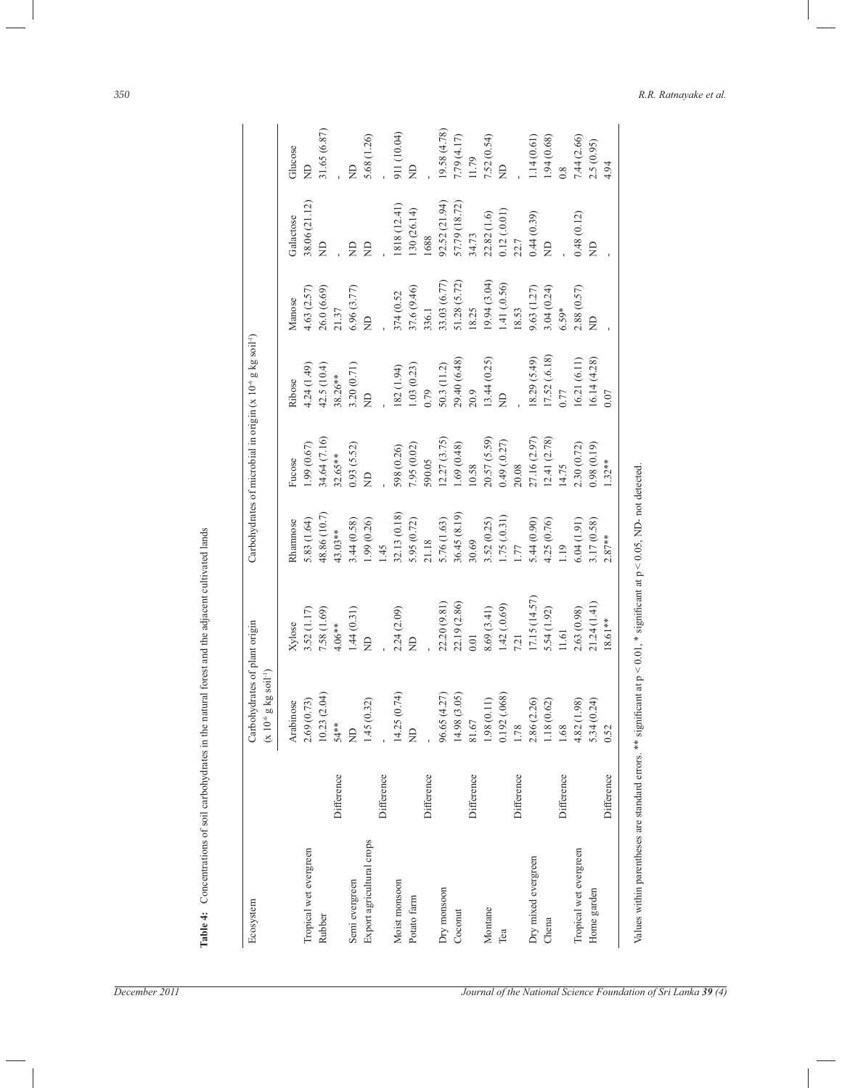| Ecosystem                 |            | Carbohydrates of plant origin<br>$(x 10-6 g kg soil-1)$ |               |              | Carbohydrates of microbial in origin (x 10 <sup>-6</sup> g kg soil <sup>-1</sup> ) |                |              |                                                       |                  |
|---------------------------|------------|---------------------------------------------------------|---------------|--------------|------------------------------------------------------------------------------------|----------------|--------------|-------------------------------------------------------|------------------|
|                           |            | Arabinose                                               | Xylose        | Rhamnose     | Fucose                                                                             | Ribose         | Manose       | Galactose                                             |                  |
| Tropical wet evergreen    |            | 2.69 (0.73)                                             | 3.52 (1.17)   | 5.83 (1.64)  | 1.99 (0.67)                                                                        | 4.24 (1.49)    | 4.63(2.57)   | 38.06 (21.12)                                         | Glucose<br>$\Xi$ |
| Rubber                    |            | 10.23(2.04)                                             | 7.58 (1.69)   | 48.86 (10.7) | 34.64 (7.16)                                                                       | 42.5 (10.4)    | 26.0(6.69)   | $\epsilon$                                            |                  |
|                           | Difference | $54**$                                                  | $4.06**$      | 43.03**      | $32.65**$                                                                          | 38.26**        | 21.37        |                                                       |                  |
| Semi evergreen            |            | $\overline{z}$                                          | 1.44(0.31)    | 3.44 (0.58)  | 0.93(5.52)                                                                         | 3.20 (0.71)    | 6.96(3.77)   | $\infty$                                              | $\Xi$            |
| Export agricultural crops |            | 1.45 (0.32)                                             | $\frac{1}{2}$ | 1.99(0.26)   | $\Xi$                                                                              | $\beta$        | $\Xi$        | $\beta$                                               | 5.68 (1.26)      |
|                           | Difference |                                                         |               | 1.45         |                                                                                    |                |              |                                                       |                  |
| Moist monsoon             |            | 14.25(0.74)                                             | 2.24(2.09)    | 32.13 (0.18) | 598 (0.26)                                                                         | 182 (1.94)     | 374 (0.52    | 1818 (12.41)                                          | 911 (10.04)      |
| Potato farm               |            | $\overline{z}$                                          | $\beta$       | 5.95 (0.72)  | 7.95 (0.02)                                                                        | 1.03(0.23)     | 37.6 (9.46)  | 130 (26.14)                                           | $\Xi$            |
|                           | Difference |                                                         |               | 21.18        | 590.05                                                                             | 0.79           | 336.1        | 1688                                                  |                  |
| Dry monsoon               |            | 96.65 (4.27)                                            | 22.20 (9.81)  | 5.76 (1.63)  | 12.27 (3.75)                                                                       | 50.3(11.2)     | 33.03 (6.77) | 92.52 (21.94)                                         | 19.58 (4.78)     |
| Coconut                   |            | 14.98 (3.05)                                            | 22.19 (2.86)  | 36.45 (8.19) | 1.69(0.48)                                                                         | 29.40 (6.48)   | 51.28 (5.72) | 57.79 (18.72)                                         | 7.79 (4.17)      |
|                           | Difference | $81.67\,$                                               | 0.01          | 30.69        | $10.58\,$                                                                          | 20.9           | 18.25        | 34.73                                                 | 11.79            |
| Montane                   |            | 1.98(0.11)                                              | 8.69 (3.41)   | 3.52(0.25)   | 20.57 (5.59)                                                                       | 13.44(0.25)    | 19.94 (3.04) | 22.82 (1.6)                                           | 7.52 (0.54)      |
| Tea                       |            | 0.192 (.068)                                            | 1.42(0.69)    | 1.75(0.31)   | 0.49(0.27)                                                                         | $\overline{z}$ | 1.41 (.0.56) | $\begin{array}{l} 0.12\,( .0.01) \\ 22.7 \end{array}$ | $\Xi$            |
|                           | Difference | 1.78                                                    | 7.21          | 1.77         | 20.08                                                                              |                | 18.53        |                                                       |                  |
| Dry mixed evergreen       |            | 2.86 (2.26)                                             | 17.15(14.57)  | 5.44(0.90)   | 27.16 (2.97)                                                                       | 18.29 (5.49)   | 9.63 (1.27)  | 0.44(0.39)                                            | 1.14(0.61)       |
| Chena                     |            | 1.18 (0.62)                                             | 5.54 (1.92)   | 4.25 (0.76)  | 12.41(2.78)                                                                        | 17.52 (.6.18)  | 3.04(0.24)   | $\overline{z}$                                        | 1.94(0.68)       |
|                           | Difference | 1.68                                                    | 11.61         | 1.19         | 14.75                                                                              | 0.77           | $6.59*$      |                                                       | 0.8              |
| Tropical wet evergreen    |            | $4.82(1.98)$<br>5.34 $(0.24)$                           | 2.63 (0.98)   | 6.04(1.91)   | 2.30 (0.72)                                                                        | 16.21 (6.11)   | 2.88(0.57)   | 0.48(0.12)                                            | 7.44(2.66)       |
| Home garden               |            |                                                         | 21.24(1.41)   | 3.17 (0.58)  | 0.98(0.19)                                                                         | 16.14(4.28)    | $\Xi$        | $\beta$                                               | 2.5 (0.95)       |
|                           | Difference | 0.52                                                    | 18.61**       | $2.87**$     | $1.32**$                                                                           | 0.07           |              |                                                       | 4.94             |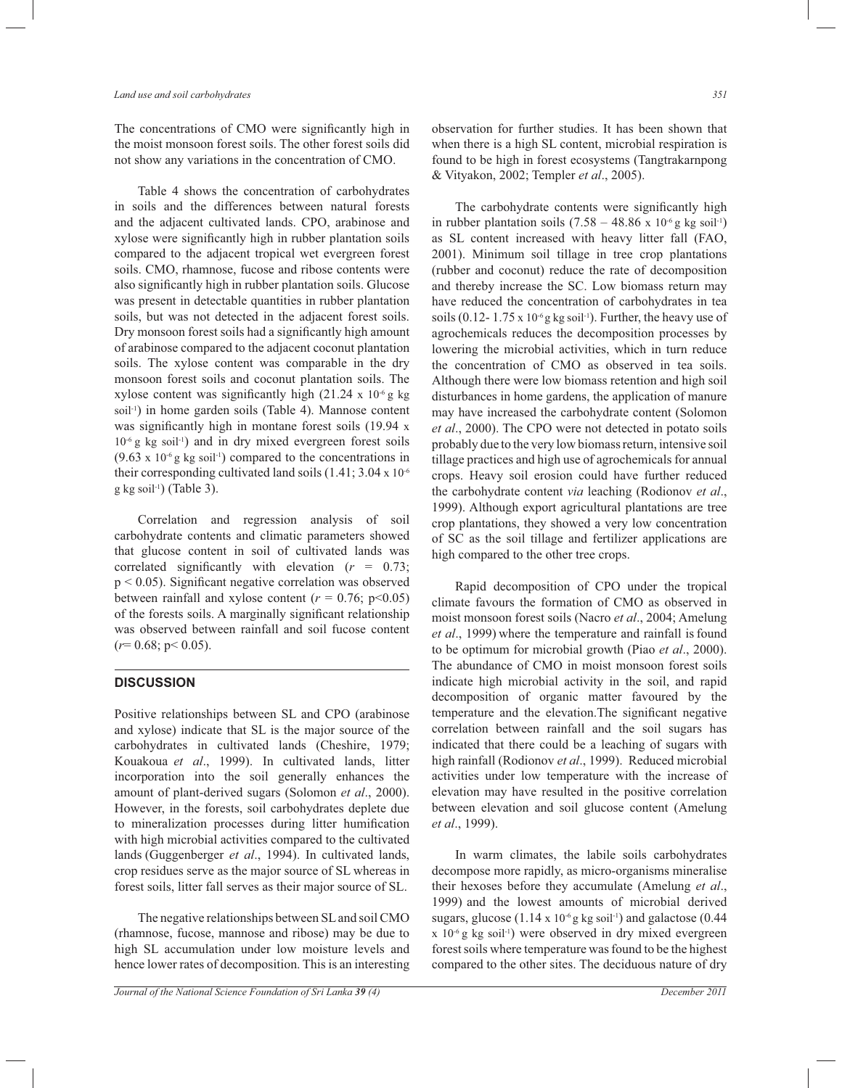The concentrations of CMO were significantly high in the moist monsoon forest soils. The other forest soils did not show any variations in the concentration of CMO.

 Table 4 shows the concentration of carbohydrates in soils and the differences between natural forests and the adjacent cultivated lands. CPO, arabinose and xylose were significantly high in rubber plantation soils compared to the adjacent tropical wet evergreen forest soils. CMO, rhamnose, fucose and ribose contents were also significantly high in rubber plantation soils. Glucose was present in detectable quantities in rubber plantation soils, but was not detected in the adjacent forest soils. Dry monsoon forest soils had a significantly high amount of arabinose compared to the adjacent coconut plantation soils. The xylose content was comparable in the dry monsoon forest soils and coconut plantation soils. The xylose content was significantly high  $(21.24 \times 10^{-6} \text{ g kg})$ soil-1) in home garden soils (Table 4). Mannose content was significantly high in montane forest soils (19.94 x  $10^{-6}$  g kg soil<sup>-1</sup>) and in dry mixed evergreen forest soils  $(9.63 \times 10^{-6} \text{ g kg soil}^{-1})$  compared to the concentrations in their corresponding cultivated land soils (1.41; 3.04 x 10-6  $g$  kg soil<sup>-1</sup>) (Table 3).

 Correlation and regression analysis of soil carbohydrate contents and climatic parameters showed that glucose content in soil of cultivated lands was correlated significantly with elevation (*r* = 0.73; p < 0.05). Significant negative correlation was observed between rainfall and xylose content  $(r = 0.76; p<0.05)$ of the forests soils. A marginally significant relationship was observed between rainfall and soil fucose content  $(r=0.68; p<0.05)$ .

## **DISCUSSION**

Positive relationships between SL and CPO (arabinose and xylose) indicate that SL is the major source of the carbohydrates in cultivated lands (Cheshire, 1979; Kouakoua *et al*., 1999). In cultivated lands, litter incorporation into the soil generally enhances the amount of plant-derived sugars (Solomon *et al*., 2000). However, in the forests, soil carbohydrates deplete due to mineralization processes during litter humification with high microbial activities compared to the cultivated lands (Guggenberger *et al*., 1994). In cultivated lands, crop residues serve as the major source of SL whereas in forest soils, litter fall serves as their major source of SL.

 The negative relationships between SL and soil CMO (rhamnose, fucose, mannose and ribose) may be due to high SL accumulation under low moisture levels and hence lower rates of decomposition. This is an interesting

observation for further studies. It has been shown that when there is a high SL content, microbial respiration is found to be high in forest ecosystems (Tangtrakarnpong & Vityakon, 2002; Templer *et al*., 2005).

 The carbohydrate contents were significantly high in rubber plantation soils  $(7.58 - 48.86 \times 10^{-6} \text{ g kg soil}^{-1})$ as SL content increased with heavy litter fall (FAO, 2001). Minimum soil tillage in tree crop plantations (rubber and coconut) reduce the rate of decomposition and thereby increase the SC. Low biomass return may have reduced the concentration of carbohydrates in tea soils  $(0.12 - 1.75 \times 10^{-6}$  g kg soil<sup>-1</sup>). Further, the heavy use of agrochemicals reduces the decomposition processes by lowering the microbial activities, which in turn reduce the concentration of CMO as observed in tea soils. Although there were low biomass retention and high soil disturbances in home gardens, the application of manure may have increased the carbohydrate content (Solomon *et al*., 2000). The CPO were not detected in potato soils probably due to the very low biomass return, intensive soil tillage practices and high use of agrochemicals for annual crops. Heavy soil erosion could have further reduced the carbohydrate content *via* leaching (Rodionov *et al*., 1999). Although export agricultural plantations are tree crop plantations, they showed a very low concentration of SC as the soil tillage and fertilizer applications are high compared to the other tree crops.

 Rapid decomposition of CPO under the tropical climate favours the formation of CMO as observed in moist monsoon forest soils (Nacro *et al*., 2004; Amelung et al., 1999) where the temperature and rainfall is found to be optimum for microbial growth (Piao *et al*., 2000). The abundance of CMO in moist monsoon forest soils indicate high microbial activity in the soil, and rapid decomposition of organic matter favoured by the temperature and the elevation.The significant negative correlation between rainfall and the soil sugars has indicated that there could be a leaching of sugars with high rainfall (Rodionov *et al*., 1999). Reduced microbial activities under low temperature with the increase of elevation may have resulted in the positive correlation between elevation and soil glucose content (Amelung *et al*., 1999).

 In warm climates, the labile soils carbohydrates decompose more rapidly, as micro-organisms mineralise their hexoses before they accumulate (Amelung *et al*., 1999) and the lowest amounts of microbial derived sugars, glucose  $(1.14 \times 10^{-6}$  g kg soil<sup>-1</sup>) and galactose  $(0.44$  $x$  10<sup>-6</sup> g kg soil<sup>-1</sup>) were observed in dry mixed evergreen forest soils where temperature was found to be the highest compared to the other sites. The deciduous nature of dry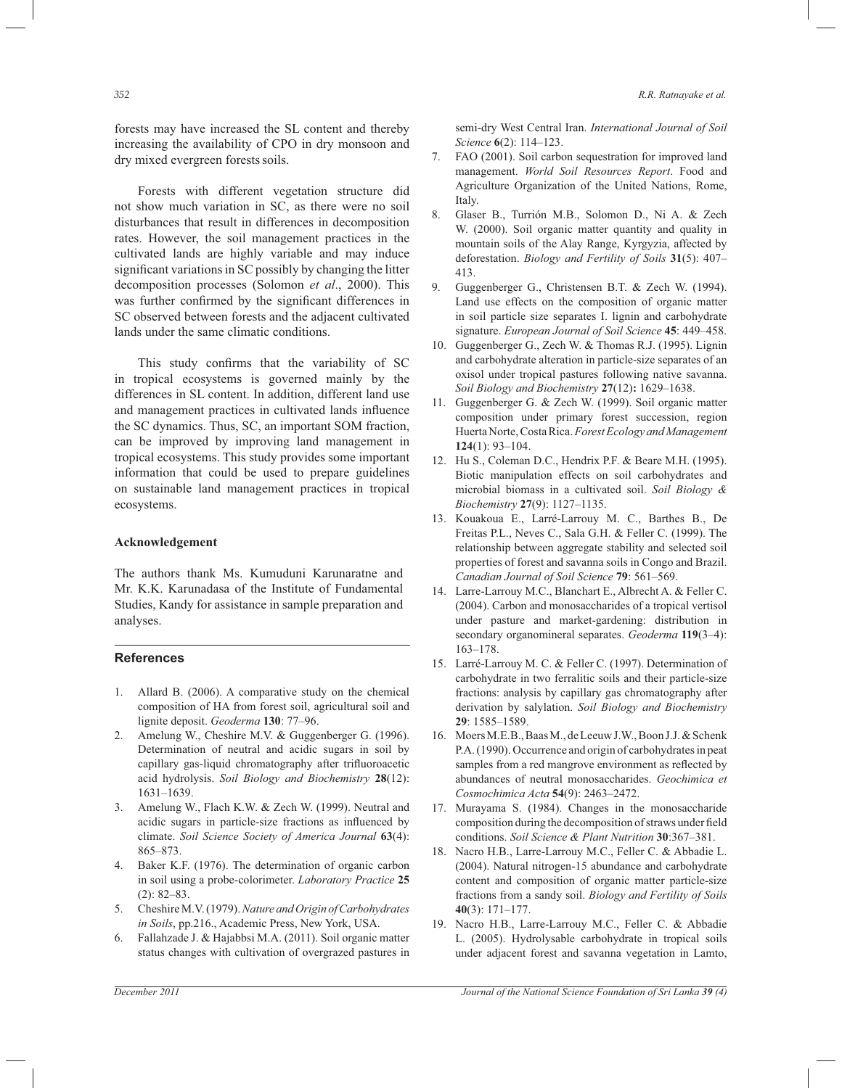forests may have increased the SL content and thereby increasing the availability of CPO in dry monsoon and dry mixed evergreen forests soils.

 Forests with different vegetation structure did not show much variation in SC, as there were no soil disturbances that result in differences in decomposition rates. However, the soil management practices in the cultivated lands are highly variable and may induce significant variations in SC possibly by changing the litter decomposition processes (Solomon *et al*., 2000). This was further confirmed by the significant differences in SC observed between forests and the adjacent cultivated lands under the same climatic conditions.

 This study confirms that the variability of SC in tropical ecosystems is governed mainly by the differences in SL content. In addition, different land use and management practices in cultivated lands influence the SC dynamics. Thus, SC, an important SOM fraction, can be improved by improving land management in tropical ecosystems. This study provides some important information that could be used to prepare guidelines on sustainable land management practices in tropical ecosystems.

#### **Acknowledgement**

The authors thank Ms. Kumuduni Karunaratne and Mr. K.K. Karunadasa of the Institute of Fundamental Studies, Kandy for assistance in sample preparation and analyses.

#### **References**

- 1. Allard B. (2006). A comparative study on the chemical composition of HA from forest soil, agricultural soil and lignite deposit. *Geoderma* **130**: 77–96.
- 2. Amelung W., Cheshire M.V. & Guggenberger G. (1996). Determination of neutral and acidic sugars in soil by capillary gas-liquid chromatography after trifluoroacetic acid hydrolysis. *Soil Biology and Biochemistry* **28**(12): 1631–1639.
- 3. Amelung W., Flach K.W. & Zech W. (1999). Neutral and acidic sugars in particle-size fractions as influenced by climate. *Soil Science Society of America Journal* **63**(4): 865–873.
- 4. Baker K.F. (1976). The determination of organic carbon in soil using a probe-colorimeter. *Laboratory Practice* **25**  (2): 82–83.
- 5. Cheshire M.V. (1979). *Nature and Origin of Carbohydrates in Soils*, pp.216., Academic Press, New York, USA.
- 6. Fallahzade J. & Hajabbsi M.A. (2011). Soil organic matter status changes with cultivation of overgrazed pastures in

semi-dry West Central Iran. *International Journal of Soil Science* **6**(2): 114–123.

- 7. FAO (2001). Soil carbon sequestration for improved land management. *World Soil Resources Report*. Food and Agriculture Organization of the United Nations, Rome, Italy.
- 8. Glaser B., Turrión M.B., Solomon D., Ni A. & Zech W. (2000). Soil organic matter quantity and quality in mountain soils of the Alay Range, Kyrgyzia, affected by deforestation. *Biology and Fertility of Soils* **31**(5): 407– 413.
- 9. Guggenberger G., Christensen B.T. & Zech W. (1994). Land use effects on the composition of organic matter in soil particle size separates I. lignin and carbohydrate signature. *European Journal of Soil Science* **45**: 449–458.
- 10. Guggenberger G., Zech W. & Thomas R.J. (1995). Lignin and carbohydrate alteration in particle-size separates of an oxisol under tropical pastures following native savanna. *Soil Biology and Biochemistry* **27**(12)**:** 1629–1638.
- 11. Guggenberger G. & Zech W. (1999). Soil organic matter composition under primary forest succession, region Huerta Norte, Costa Rica. *Forest Ecology and Management*  **124**(1): 93–104.
- 12. Hu S., Coleman D.C., Hendrix P.F. & Beare M.H. (1995). Biotic manipulation effects on soil carbohydrates and microbial biomass in a cultivated soil. *Soil Biology & Biochemistry* **27**(9): 1127–1135.
- 13. Kouakoua E., Larré-Larrouy M. C., Barthes B., De Freitas P.L., Neves C., Sala G.H. & Feller C. (1999). The relationship between aggregate stability and selected soil properties of forest and savanna soils in Congo and Brazil. *Canadian Journal of Soil Science* **79**: 561–569.
- 14. Larre-Larrouy M.C., Blanchart E., Albrecht A. & Feller C. (2004). Carbon and monosaccharides of a tropical vertisol under pasture and market-gardening: distribution in secondary organomineral separates. *Geoderma* **119**(3–4): 163–178.
- 15. Larré-Larrouy M. C. & Feller C. (1997). Determination of carbohydrate in two ferralitic soils and their particle-size fractions: analysis by capillary gas chromatography after derivation by salylation. *Soil Biology and Biochemistry* **29**: 1585–1589.
- 16. Moers M.E.B., Baas M., de Leeuw J.W., Boon J.J. & Schenk P.A. (1990). Occurrence and origin of carbohydrates in peat samples from a red mangrove environment as reflected by abundances of neutral monosaccharides. *Geochimica et Cosmochimica Acta* **54**(9): 2463–2472.
- 17. Murayama S. (1984). Changes in the monosaccharide composition during the decomposition of straws under field conditions. *Soil Science & Plant Nutrition* **30**:367–381.
- 18. Nacro H.B., Larre-Larrouy M.C., Feller C. & Abbadie L. (2004). Natural nitrogen-15 abundance and carbohydrate content and composition of organic matter particle-size fractions from a sandy soil. *Biology and Fertility of Soils* **40**(3): 171–177.
- 19. Nacro H.B., Larre-Larrouy M.C., Feller C. & Abbadie L. (2005). Hydrolysable carbohydrate in tropical soils under adjacent forest and savanna vegetation in Lamto,